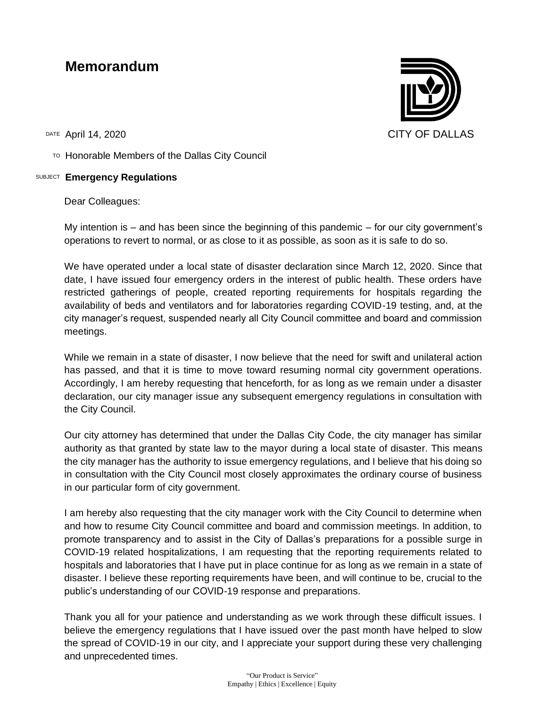## **Memorandum**

TO Honorable Members of the Dallas City Council

## SUBJECT **Emergency Regulations**

Dear Colleagues:

My intention is  $-$  and has been since the beginning of this pandemic  $-$  for our city government's operations to revert to normal, or as close to it as possible, as soon as it is safe to do so.

We have operated under a local state of disaster declaration since March 12, 2020. Since that date, I have issued four emergency orders in the interest of public health. These orders have restricted gatherings of people, created reporting requirements for hospitals regarding the availability of beds and ventilators and for laboratories regarding COVID-19 testing, and, at the city manager's request, suspended nearly all City Council committee and board and commission meetings.

While we remain in a state of disaster, I now believe that the need for swift and unilateral action has passed, and that it is time to move toward resuming normal city government operations. Accordingly, I am hereby requesting that henceforth, for as long as we remain under a disaster declaration, our city manager issue any subsequent emergency regulations in consultation with the City Council.

Our city attorney has determined that under the Dallas City Code, the city manager has similar authority as that granted by state law to the mayor during a local state of disaster. This means the city manager has the authority to issue emergency regulations, and I believe that his doing so in consultation with the City Council most closely approximates the ordinary course of business in our particular form of city government.

I am hereby also requesting that the city manager work with the City Council to determine when and how to resume City Council committee and board and commission meetings. In addition, to promote transparency and to assist in the City of Dallas's preparations for a possible surge in COVID-19 related hospitalizations, I am requesting that the reporting requirements related to hospitals and laboratories that I have put in place continue for as long as we remain in a state of disaster. I believe these reporting requirements have been, and will continue to be, crucial to the public's understanding of our COVID-19 response and preparations.

Thank you all for your patience and understanding as we work through these difficult issues. I believe the emergency regulations that I have issued over the past month have helped to slow the spread of COVID-19 in our city, and I appreciate your support during these very challenging and unprecedented times.